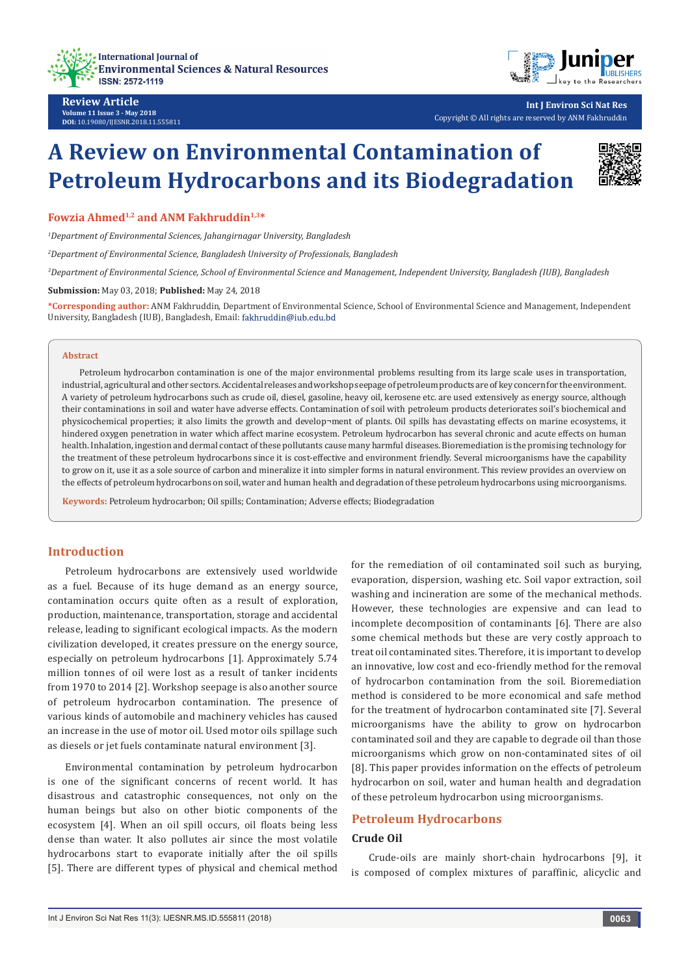



回想

**Int J Environ Sci Nat Res** Copyright © All rights are reserved by ANM Fakhruddin

# **A Review on Environmental Contamination of Petroleum Hydrocarbons and its Biodegradation**

Fowzia Ahmed<sup>1,2</sup> and ANM Fakhruddin<sup>1,3\*</sup>

*1 Department of Environmental Sciences, Jahangirnagar University, Bangladesh*

*2 Department of Environmental Science, Bangladesh University of Professionals, Bangladesh*

*3 Department of Environmental Science, School of Environmental Science and Management, Independent University, Bangladesh (IUB), Bangladesh*

**Submission:** May 03, 2018; **Published:** May 24, 2018

**\*Corresponding author:** ANM Fakhruddin, Department of Environmental Science, School of Environmental Science and Management, Independent University, Bangladesh (IUB), Bangladesh, Email:

#### **Abstract**

Petroleum hydrocarbon contamination is one of the major environmental problems resulting from its large scale uses in transportation, industrial, agricultural and other sectors. Accidental releases and workshop seepage of petroleum products are of key concern for the environment. A variety of petroleum hydrocarbons such as crude oil, diesel, gasoline, heavy oil, kerosene etc. are used extensively as energy source, although their contaminations in soil and water have adverse effects. Contamination of soil with petroleum products deteriorates soil's biochemical and physicochemical properties; it also limits the growth and develop¬ment of plants. Oil spills has devastating effects on marine ecosystems, it hindered oxygen penetration in water which affect marine ecosystem. Petroleum hydrocarbon has several chronic and acute effects on human health. Inhalation, ingestion and dermal contact of these pollutants cause many harmful diseases. Bioremediation is the promising technology for the treatment of these petroleum hydrocarbons since it is cost-effective and environment friendly. Several microorganisms have the capability to grow on it, use it as a sole source of carbon and mineralize it into simpler forms in natural environment. This review provides an overview on the effects of petroleum hydrocarbons on soil, water and human health and degradation of these petroleum hydrocarbons using microorganisms.

**Keywords:** Petroleum hydrocarbon; Oil spills; Contamination; Adverse effects; Biodegradation

## **Introduction**

Petroleum hydrocarbons are extensively used worldwide as a fuel. Because of its huge demand as an energy source, contamination occurs quite often as a result of exploration, production, maintenance, transportation, storage and accidental release, leading to significant ecological impacts. As the modern civilization developed, it creates pressure on the energy source, especially on petroleum hydrocarbons [1]. Approximately 5.74 million tonnes of oil were lost as a result of tanker incidents from 1970 to 2014 [2]. Workshop seepage is also another source of petroleum hydrocarbon contamination. The presence of various kinds of automobile and machinery vehicles has caused an increase in the use of motor oil. Used motor oils spillage such as diesels or jet fuels contaminate natural environment [3].

Environmental contamination by petroleum hydrocarbon is one of the significant concerns of recent world. It has disastrous and catastrophic consequences, not only on the human beings but also on other biotic components of the ecosystem [4]. When an oil spill occurs, oil floats being less dense than water. It also pollutes air since the most volatile hydrocarbons start to evaporate initially after the oil spills [5]. There are different types of physical and chemical method for the remediation of oil contaminated soil such as burying, evaporation, dispersion, washing etc. Soil vapor extraction, soil washing and incineration are some of the mechanical methods. However, these technologies are expensive and can lead to incomplete decomposition of contaminants [6]. There are also some chemical methods but these are very costly approach to treat oil contaminated sites. Therefore, it is important to develop an innovative, low cost and eco-friendly method for the removal of hydrocarbon contamination from the soil. Bioremediation method is considered to be more economical and safe method for the treatment of hydrocarbon contaminated site [7]. Several microorganisms have the ability to grow on hydrocarbon contaminated soil and they are capable to degrade oil than those microorganisms which grow on non-contaminated sites of oil [8]. This paper provides information on the effects of petroleum hydrocarbon on soil, water and human health and degradation of these petroleum hydrocarbon using microorganisms.

## **Petroleum Hydrocarbons**

#### **Crude Oil**

Crude-oils are mainly short-chain hydrocarbons [9], it is composed of complex mixtures of paraffinic, alicyclic and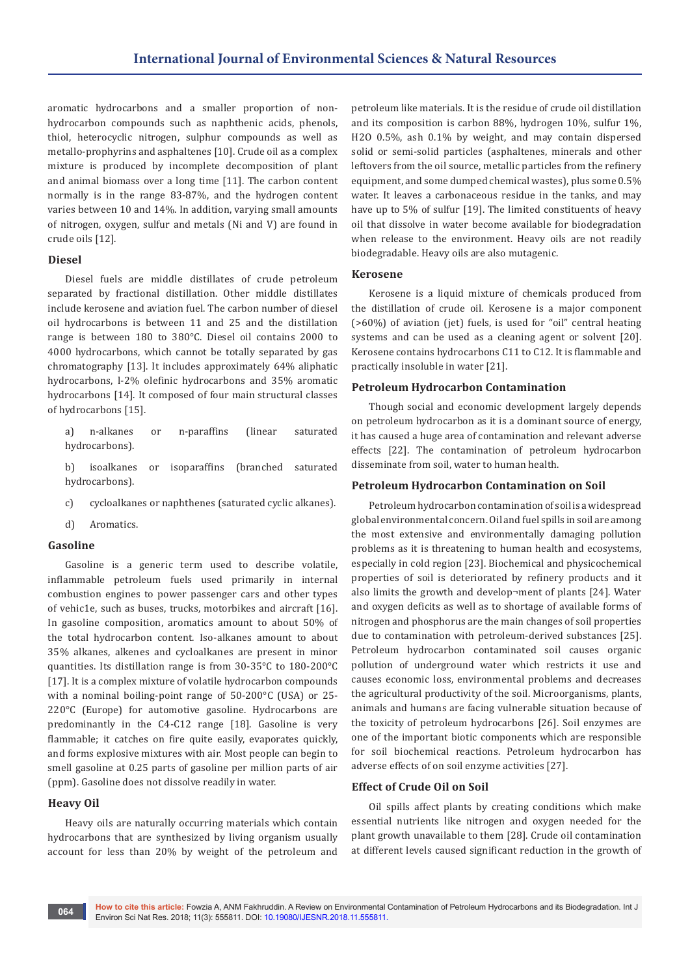aromatic hydrocarbons and a smaller proportion of nonhydrocarbon compounds such as naphthenic acids, phenols, thiol, heterocyclic nitrogen, sulphur compounds as well as metallo-prophyrins and asphaltenes [10]. Crude oil as a complex mixture is produced by incomplete decomposition of plant and animal biomass over a long time [11]. The carbon content normally is in the range 83-87%, and the hydrogen content varies between 10 and 14%. In addition, varying small amounts of nitrogen, oxygen, sulfur and metals (Ni and V) are found in crude oils [12].

## **Diesel**

Diesel fuels are middle distillates of crude petroleum separated by fractional distillation. Other middle distillates include kerosene and aviation fuel. The carbon number of diesel oil hydrocarbons is between 11 and 25 and the distillation range is between 180 to 380°C. Diesel oil contains 2000 to 4000 hydrocarbons, which cannot be totally separated by gas chromatography [13]. It includes approximately 64% aliphatic hydrocarbons, l-2% olefinic hydrocarbons and 35% aromatic hydrocarbons [14]. It composed of four main structural classes of hydrocarbons [15].

- a) n-alkanes or n-paraffins (linear saturated hydrocarbons).
- b) isoalkanes or isoparaffins (branched saturated hydrocarbons).
- c) cycloalkanes or naphthenes (saturated cyclic alkanes).
- d) Aromatics.

#### **Gasoline**

Gasoline is a generic term used to describe volatile, inflammable petroleum fuels used primarily in internal combustion engines to power passenger cars and other types of vehic1e, such as buses, trucks, motorbikes and aircraft [16]. In gasoline composition, aromatics amount to about 50% of the total hydrocarbon content. Iso-alkanes amount to about 35% alkanes, alkenes and cycloalkanes are present in minor quantities. Its distillation range is from 30-35°C to 180-200°C [17]. It is a complex mixture of volatile hydrocarbon compounds with a nominal boiling-point range of 50-200°C (USA) or 25- 220°C (Europe) for automotive gasoline. Hydrocarbons are predominantly in the C4-C12 range [18]. Gasoline is very flammable; it catches on fire quite easily, evaporates quickly, and forms explosive mixtures with air. Most people can begin to smell gasoline at 0.25 parts of gasoline per million parts of air (ppm). Gasoline does not dissolve readily in water.

#### **Heavy Oil**

Heavy oils are naturally occurring materials which contain hydrocarbons that are synthesized by living organism usually account for less than 20% by weight of the petroleum and petroleum like materials. It is the residue of crude oil distillation and its composition is carbon 88%, hydrogen 10%, sulfur 1%, H2O 0.5%, ash 0.1% by weight, and may contain dispersed solid or semi-solid particles (asphaltenes, minerals and other leftovers from the oil source, metallic particles from the refinery equipment, and some dumped chemical wastes), plus some 0.5% water. It leaves a carbonaceous residue in the tanks, and may have up to 5% of sulfur [19]. The limited constituents of heavy oil that dissolve in water become available for biodegradation when release to the environment. Heavy oils are not readily biodegradable. Heavy oils are also mutagenic.

#### **Kerosene**

Kerosene is a liquid mixture of chemicals produced from the distillation of crude oil. Kerosene is a major component (>60%) of aviation (jet) fuels, is used for "oil" central heating systems and can be used as a cleaning agent or solvent [20]. Kerosene contains hydrocarbons C11 to C12. It is flammable and practically insoluble in water [21].

## **Petroleum Hydrocarbon Contamination**

Though social and economic development largely depends on petroleum hydrocarbon as it is a dominant source of energy, it has caused a huge area of contamination and relevant adverse effects [22]. The contamination of petroleum hydrocarbon disseminate from soil, water to human health.

#### **Petroleum Hydrocarbon Contamination on Soil**

Petroleum hydrocarbon contamination of soil is a widespread global environmental concern. Oil and fuel spills in soil are among the most extensive and environmentally damaging pollution problems as it is threatening to human health and ecosystems, especially in cold region [23]. Biochemical and physicochemical properties of soil is deteriorated by refinery products and it also limits the growth and develop¬ment of plants [24]. Water and oxygen deficits as well as to shortage of available forms of nitrogen and phosphorus are the main changes of soil properties due to contamination with petroleum-derived substances [25]. Petroleum hydrocarbon contaminated soil causes organic pollution of underground water which restricts it use and causes economic loss, environmental problems and decreases the agricultural productivity of the soil. Microorganisms, plants, animals and humans are facing vulnerable situation because of the toxicity of petroleum hydrocarbons [26]. Soil enzymes are one of the important biotic components which are responsible for soil biochemical reactions. Petroleum hydrocarbon has adverse effects of on soil enzyme activities [27].

#### **Effect of Crude Oil on Soil**

Oil spills affect plants by creating conditions which make essential nutrients like nitrogen and oxygen needed for the plant growth unavailable to them [28]. Crude oil contamination at different levels caused significant reduction in the growth of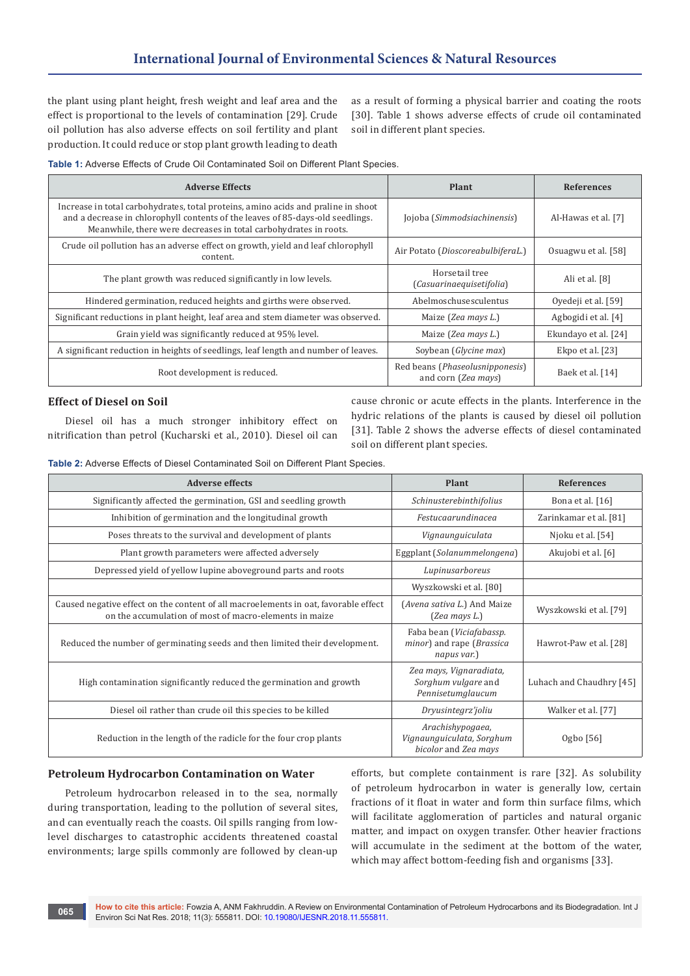the plant using plant height, fresh weight and leaf area and the effect is proportional to the levels of contamination [29]. Crude oil pollution has also adverse effects on soil fertility and plant production. It could reduce or stop plant growth leading to death

as a result of forming a physical barrier and coating the roots [30]. Table 1 shows adverse effects of crude oil contaminated soil in different plant species.

**Table 1:** Adverse Effects of Crude Oil Contaminated Soil on Different Plant Species.

| <b>Adverse Effects</b>                                                                                                                                                                                                                  | <b>Plant</b>                                           | <b>References</b>    |
|-----------------------------------------------------------------------------------------------------------------------------------------------------------------------------------------------------------------------------------------|--------------------------------------------------------|----------------------|
| Increase in total carbohydrates, total proteins, amino acids and praline in shoot<br>and a decrease in chlorophyll contents of the leaves of 85-days-old seedlings.<br>Meanwhile, there were decreases in total carbohydrates in roots. | Jojoba (Simmodsiachinensis)                            | Al-Hawas et al. [7]  |
| Crude oil pollution has an adverse effect on growth, yield and leaf chlorophyll<br>content.                                                                                                                                             | Air Potato (DioscoreabulbiferaL.)                      | Osuagwu et al. [58]  |
| The plant growth was reduced significantly in low levels.                                                                                                                                                                               | Horsetail tree<br>(Casuarinaequisetifolia)             | Ali et al. [8]       |
| Hindered germination, reduced heights and girths were observed.                                                                                                                                                                         | Abelmoschusesculentus                                  | Oyedeji et al. [59]  |
| Significant reductions in plant height, leaf area and stem diameter was observed.                                                                                                                                                       | Maize (Zea mays L.)                                    | Agbogidi et al. [4]  |
| Grain yield was significantly reduced at 95% level.                                                                                                                                                                                     | Maize (Zea mays L.)                                    | Ekundayo et al. [24] |
| A significant reduction in heights of seedlings, leaf length and number of leaves.                                                                                                                                                      | Soybean (Glycine max)                                  | Ekpo et al. $[23]$   |
| Root development is reduced.                                                                                                                                                                                                            | Red beans (Phaseolusnipponesis)<br>and corn (Zea mays) | Baek et al. [14]     |

# **Effect of Diesel on Soil**

Diesel oil has a much stronger inhibitory effect on nitrification than petrol (Kucharski et al., 2010). Diesel oil can cause chronic or acute effects in the plants. Interference in the hydric relations of the plants is caused by diesel oil pollution [31]. Table 2 shows the adverse effects of diesel contaminated soil on different plant species.

**Table 2:** Adverse Effects of Diesel Contaminated Soil on Different Plant Species.

| <b>Adverse effects</b>                                                                                                                        | <b>Plant</b>                                                          | <b>References</b>        |
|-----------------------------------------------------------------------------------------------------------------------------------------------|-----------------------------------------------------------------------|--------------------------|
| Significantly affected the germination, GSI and seedling growth                                                                               | Schinusterebinthifolius                                               | Bona et al. $[16]$       |
| Inhibition of germination and the longitudinal growth                                                                                         | Festucaarundinacea                                                    | Zarinkamar et al. [81]   |
| Poses threats to the survival and development of plants                                                                                       | Vignaunguiculata                                                      | Njoku et al. [54]        |
| Plant growth parameters were affected adversely                                                                                               | Eggplant (Solanummelongena)                                           | Akujobi et al. [6]       |
| Depressed yield of yellow lupine aboveground parts and roots                                                                                  | Lupinusarboreus                                                       |                          |
|                                                                                                                                               | Wyszkowski et al. [80]                                                |                          |
| Caused negative effect on the content of all macroelements in oat, favorable effect<br>on the accumulation of most of macro-elements in maize | (Avena sativa L.) And Maize<br>$(Zea$ mays $L$ .)                     | Wyszkowski et al. [79]   |
| Reduced the number of germinating seeds and then limited their development.                                                                   | Faba bean (Viciafabassp.<br>minor) and rape (Brassica<br>napus var.)  | Hawrot-Paw et al. [28]   |
| High contamination significantly reduced the germination and growth                                                                           | Zea mays, Vignaradiata,<br>Sorghum vulgare and<br>Pennisetumglaucum   | Luhach and Chaudhry [45] |
| Diesel oil rather than crude oil this species to be killed                                                                                    | Dryusintegrz'joliu                                                    | Walker et al. [77]       |
| Reduction in the length of the radicle for the four crop plants                                                                               | Arachishypogaea,<br>Vignaunguiculata, Sorghum<br>bicolor and Zea mays | Ogbo [56]                |

## **Petroleum Hydrocarbon Contamination on Water**

Petroleum hydrocarbon released in to the sea, normally during transportation, leading to the pollution of several sites, and can eventually reach the coasts. Oil spills ranging from lowlevel discharges to catastrophic accidents threatened coastal environments; large spills commonly are followed by clean-up

efforts, but complete containment is rare [32]. As solubility of petroleum hydrocarbon in water is generally low, certain fractions of it float in water and form thin surface films, which will facilitate agglomeration of particles and natural organic matter, and impact on oxygen transfer. Other heavier fractions will accumulate in the sediment at the bottom of the water, which may affect bottom-feeding fish and organisms [33].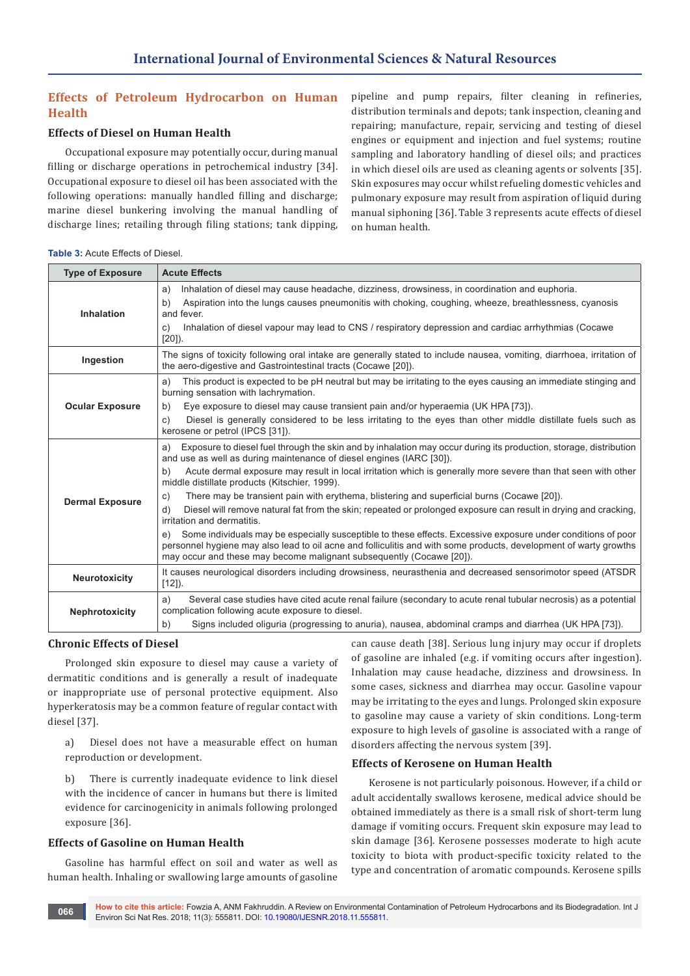# **Effects of Petroleum Hydrocarbon on Human Health**

# **Effects of Diesel on Human Health**

Occupational exposure may potentially occur, during manual filling or discharge operations in petrochemical industry [34]. Occupational exposure to diesel oil has been associated with the following operations: manually handled filling and discharge; marine diesel bunkering involving the manual handling of discharge lines; retailing through filing stations; tank dipping,

pipeline and pump repairs, filter cleaning in refineries, distribution terminals and depots; tank inspection, cleaning and repairing; manufacture, repair, servicing and testing of diesel engines or equipment and injection and fuel systems; routine sampling and laboratory handling of diesel oils; and practices in which diesel oils are used as cleaning agents or solvents [35]. Skin exposures may occur whilst refueling domestic vehicles and pulmonary exposure may result from aspiration of liquid during manual siphoning [36]. Table 3 represents acute effects of diesel on human health.

| <b>Table 3: Acute Effects of Diesel.</b> |  |
|------------------------------------------|--|
|------------------------------------------|--|

| <b>Type of Exposure</b> | <b>Acute Effects</b>                                                                                                                                                                                                                                                                                                                                                                                                                                                                                                                                                                                                                                                                                                                                                                                                                                                                                                                            |
|-------------------------|-------------------------------------------------------------------------------------------------------------------------------------------------------------------------------------------------------------------------------------------------------------------------------------------------------------------------------------------------------------------------------------------------------------------------------------------------------------------------------------------------------------------------------------------------------------------------------------------------------------------------------------------------------------------------------------------------------------------------------------------------------------------------------------------------------------------------------------------------------------------------------------------------------------------------------------------------|
| Inhalation              | Inhalation of diesel may cause headache, dizziness, drowsiness, in coordination and euphoria.<br>a)<br>Aspiration into the lungs causes pneumonitis with choking, coughing, wheeze, breathlessness, cyanosis<br>b)<br>and fever.<br>Inhalation of diesel vapour may lead to CNS / respiratory depression and cardiac arrhythmias (Cocawe<br>C)<br>$[20]$ ).                                                                                                                                                                                                                                                                                                                                                                                                                                                                                                                                                                                     |
| Ingestion               | The signs of toxicity following oral intake are generally stated to include nausea, vomiting, diarrhoea, irritation of<br>the aero-digestive and Gastrointestinal tracts (Cocawe [20]).                                                                                                                                                                                                                                                                                                                                                                                                                                                                                                                                                                                                                                                                                                                                                         |
| <b>Ocular Exposure</b>  | This product is expected to be pH neutral but may be irritating to the eyes causing an immediate stinging and<br>a)<br>burning sensation with lachrymation.<br>Eye exposure to diesel may cause transient pain and/or hyperaemia (UK HPA [73]).<br>b)<br>Diesel is generally considered to be less irritating to the eyes than other middle distillate fuels such as<br>c)<br>kerosene or petrol (IPCS [31]).                                                                                                                                                                                                                                                                                                                                                                                                                                                                                                                                   |
| <b>Dermal Exposure</b>  | Exposure to diesel fuel through the skin and by inhalation may occur during its production, storage, distribution<br>a)<br>and use as well as during maintenance of diesel engines (IARC [30]).<br>Acute dermal exposure may result in local irritation which is generally more severe than that seen with other<br>b)<br>middle distillate products (Kitschier, 1999).<br>There may be transient pain with erythema, blistering and superficial burns (Cocawe [20]).<br>C)<br>Diesel will remove natural fat from the skin; repeated or prolonged exposure can result in drying and cracking,<br>d)<br>irritation and dermatitis.<br>Some individuals may be especially susceptible to these effects. Excessive exposure under conditions of poor<br>personnel hygiene may also lead to oil acne and folliculitis and with some products, development of warty growths<br>may occur and these may become malignant subsequently (Cocawe [20]). |
| Neurotoxicity           | It causes neurological disorders including drowsiness, neurasthenia and decreased sensorimotor speed (ATSDR<br>$[12]$ ).                                                                                                                                                                                                                                                                                                                                                                                                                                                                                                                                                                                                                                                                                                                                                                                                                        |
| Nephrotoxicity          | Several case studies have cited acute renal failure (secondary to acute renal tubular necrosis) as a potential<br>a)<br>complication following acute exposure to diesel.<br>Signs included oliguria (progressing to anuria), nausea, abdominal cramps and diarrhea (UK HPA [73]).<br>b)                                                                                                                                                                                                                                                                                                                                                                                                                                                                                                                                                                                                                                                         |

## **Chronic Effects of Diesel**

Prolonged skin exposure to diesel may cause a variety of dermatitic conditions and is generally a result of inadequate or inappropriate use of personal protective equipment. Also hyperkeratosis may be a common feature of regular contact with diesel [37].

a) Diesel does not have a measurable effect on human reproduction or development.

b) There is currently inadequate evidence to link diesel with the incidence of cancer in humans but there is limited evidence for carcinogenicity in animals following prolonged exposure [36].

## **Effects of Gasoline on Human Health**

Gasoline has harmful effect on soil and water as well as human health. Inhaling or swallowing large amounts of gasoline

can cause death [38]. Serious lung injury may occur if droplets of gasoline are inhaled (e.g. if vomiting occurs after ingestion). Inhalation may cause headache, dizziness and drowsiness. In some cases, sickness and diarrhea may occur. Gasoline vapour may be irritating to the eyes and lungs. Prolonged skin exposure to gasoline may cause a variety of skin conditions. Long-term exposure to high levels of gasoline is associated with a range of disorders affecting the nervous system [39].

## **Effects of Kerosene on Human Health**

Kerosene is not particularly poisonous. However, if a child or adult accidentally swallows kerosene, medical advice should be obtained immediately as there is a small risk of short-term lung damage if vomiting occurs. Frequent skin exposure may lead to skin damage [36]. Kerosene possesses moderate to high acute toxicity to biota with product-specific toxicity related to the type and concentration of aromatic compounds. Kerosene spills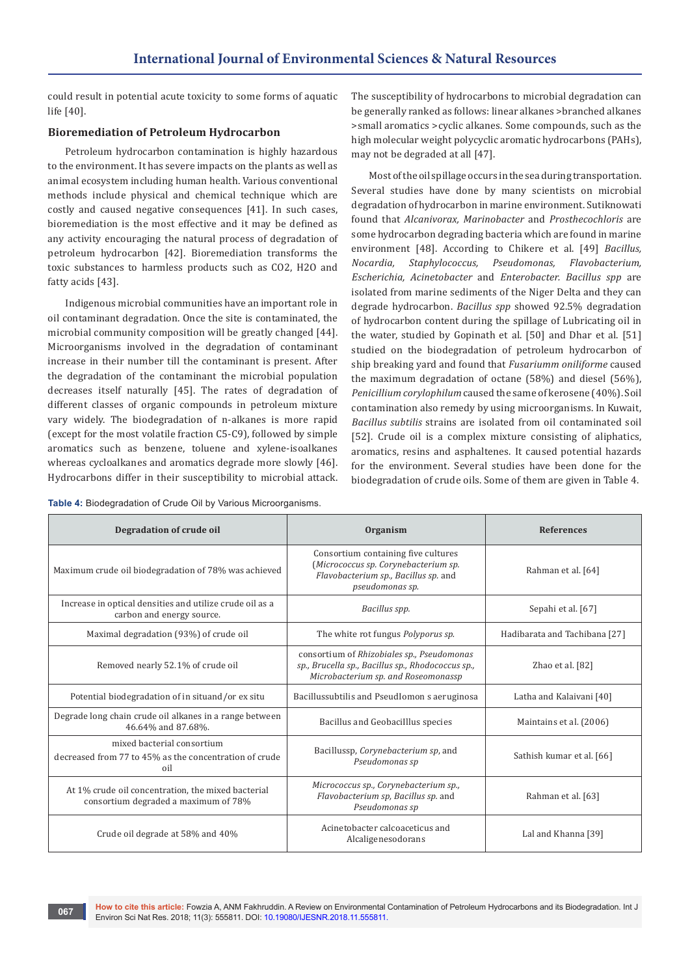could result in potential acute toxicity to some forms of aquatic life [40].

## **Bioremediation of Petroleum Hydrocarbon**

Petroleum hydrocarbon contamination is highly hazardous to the environment. It has severe impacts on the plants as well as animal ecosystem including human health. Various conventional methods include physical and chemical technique which are costly and caused negative consequences [41]. In such cases, bioremediation is the most effective and it may be defined as any activity encouraging the natural process of degradation of petroleum hydrocarbon [42]. Bioremediation transforms the toxic substances to harmless products such as CO2, H2O and fatty acids [43].

Indigenous microbial communities have an important role in oil contaminant degradation. Once the site is contaminated, the microbial community composition will be greatly changed [44]. Microorganisms involved in the degradation of contaminant increase in their number till the contaminant is present. After the degradation of the contaminant the microbial population decreases itself naturally [45]. The rates of degradation of different classes of organic compounds in petroleum mixture vary widely. The biodegradation of n-alkanes is more rapid (except for the most volatile fraction C5-C9), followed by simple aromatics such as benzene, toluene and xylene-isoalkanes whereas cycloalkanes and aromatics degrade more slowly [46]. Hydrocarbons differ in their susceptibility to microbial attack.

**Table 4:** Biodegradation of Crude Oil by Various Microorganisms.

The susceptibility of hydrocarbons to microbial degradation can be generally ranked as follows: linear alkanes >branched alkanes >small aromatics >cyclic alkanes. Some compounds, such as the high molecular weight polycyclic aromatic hydrocarbons (PAHs), may not be degraded at all [47].

Most of the oil spillage occurs in the sea during transportation. Several studies have done by many scientists on microbial degradation of hydrocarbon in marine environment. Sutiknowati found that *Alcanivorax, Marinobacter* and *Prosthecochloris* are some hydrocarbon degrading bacteria which are found in marine environment [48]. According to Chikere et al. [49] *Bacillus, Nocardia, Staphylococcus, Pseudomonas, Flavobacterium, Escherichia, Acinetobacter* and *Enterobacter. Bacillus spp* are isolated from marine sediments of the Niger Delta and they can degrade hydrocarbon. *Bacillus spp* showed 92.5% degradation of hydrocarbon content during the spillage of Lubricating oil in the water, studied by Gopinath et al. [50] and Dhar et al. [51] studied on the biodegradation of petroleum hydrocarbon of ship breaking yard and found that *Fusariumm oniliforme* caused the maximum degradation of octane (58%) and diesel (56%), *Penicillium corylophilum* caused the same of kerosene (40%). Soil contamination also remedy by using microorganisms. In Kuwait, *Bacillus subtilis* strains are isolated from oil contaminated soil [52]. Crude oil is a complex mixture consisting of aliphatics, aromatics, resins and asphaltenes. It caused potential hazards for the environment. Several studies have been done for the biodegradation of crude oils. Some of them are given in Table 4.

| Degradation of crude oil                                                                    | Organism                                                                                                                               | <b>References</b>             |
|---------------------------------------------------------------------------------------------|----------------------------------------------------------------------------------------------------------------------------------------|-------------------------------|
| Maximum crude oil biodegradation of 78% was achieved                                        | Consortium containing five cultures<br>(Micrococcus sp. Corynebacterium sp.<br>Flavobacterium sp., Bacillus sp. and<br>pseudomonas sp. | Rahman et al. [64]            |
| Increase in optical densities and utilize crude oil as a<br>carbon and energy source.       | Bacillus spp.                                                                                                                          | Sepahi et al. [67]            |
| Maximal degradation (93%) of crude oil                                                      | The white rot fungus Polyporus sp.                                                                                                     | Hadibarata and Tachibana [27] |
| Removed nearly 52.1% of crude oil                                                           | consortium of Rhizobiales sp., Pseudomonas<br>sp., Brucella sp., Bacillus sp., Rhodococcus sp.,<br>Microbacterium sp. and Roseomonassp | Zhao et al. [82]              |
| Potential biodegradation of in situand/or ex situ                                           | Bacillussubtilis and PseudIomon s aeruginosa                                                                                           | Latha and Kalaivani [40]      |
| Degrade long chain crude oil alkanes in a range between<br>46.64% and 87.68%.               | Bacillus and Geobacilllus species                                                                                                      | Maintains et al. (2006)       |
| mixed bacterial consortium<br>decreased from 77 to 45% as the concentration of crude<br>oil | Bacillussp, Corynebacterium sp, and<br>Pseudomonas sp                                                                                  | Sathish kumar et al. [66]     |
| At 1% crude oil concentration, the mixed bacterial<br>consortium degraded a maximum of 78%  | Micrococcus sp., Corynebacterium sp.,<br>Flavobacterium sp, Bacillus sp. and<br>Pseudomonas sp                                         | Rahman et al. [63]            |
| Crude oil degrade at 58% and 40%                                                            | Acinetobacter calcoaceticus and<br>Alcaligenesodorans                                                                                  | Lal and Khanna [39]           |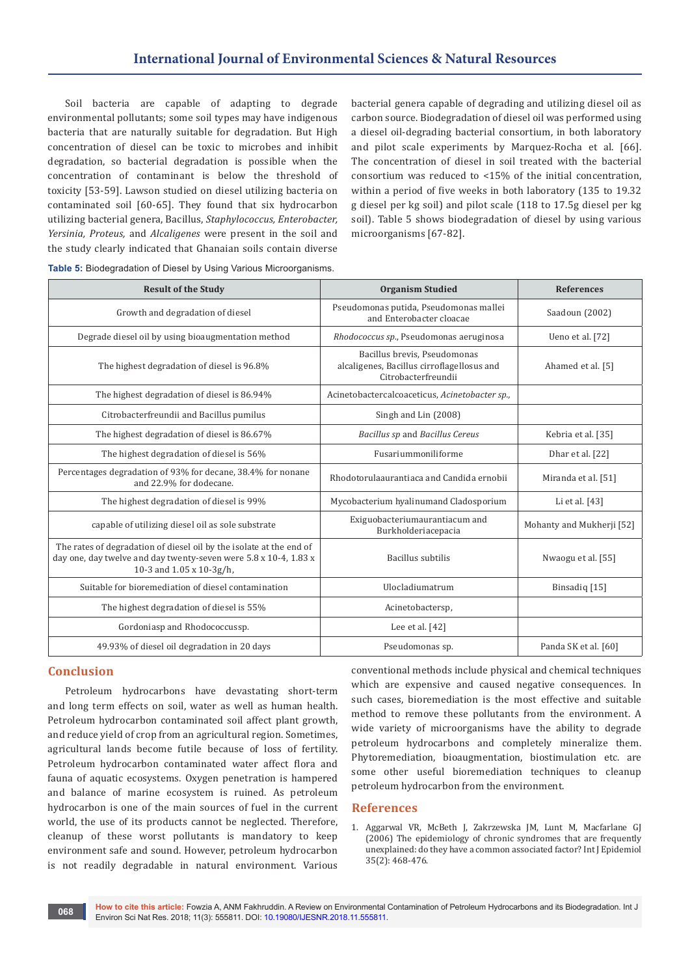Soil bacteria are capable of adapting to degrade environmental pollutants; some soil types may have indigenous bacteria that are naturally suitable for degradation. But High concentration of diesel can be toxic to microbes and inhibit degradation, so bacterial degradation is possible when the concentration of contaminant is below the threshold of toxicity [53-59]. Lawson studied on diesel utilizing bacteria on contaminated soil [60-65]. They found that six hydrocarbon utilizing bacterial genera, Bacillus, *Staphylococcus, Enterobacter, Yersinia, Proteus,* and *Alcaligenes* were present in the soil and the study clearly indicated that Ghanaian soils contain diverse

bacterial genera capable of degrading and utilizing diesel oil as carbon source. Biodegradation of diesel oil was performed using a diesel oil-degrading bacterial consortium, in both laboratory and pilot scale experiments by Marquez-Rocha et al. [66]. The concentration of diesel in soil treated with the bacterial consortium was reduced to <15% of the initial concentration, within a period of five weeks in both laboratory (135 to 19.32 g diesel per kg soil) and pilot scale (118 to 17.5g diesel per kg soil). Table 5 shows biodegradation of diesel by using various microorganisms [67-82].

| <b>Result of the Study</b>                                                                                                                                          | <b>Organism Studied</b>                                                                           | <b>References</b>         |
|---------------------------------------------------------------------------------------------------------------------------------------------------------------------|---------------------------------------------------------------------------------------------------|---------------------------|
| Growth and degradation of diesel                                                                                                                                    | Pseudomonas putida, Pseudomonas mallei<br>and Enterobacter cloacae                                | Saadoun (2002)            |
| Degrade diesel oil by using bioaugmentation method                                                                                                                  | Rhodococcus sp., Pseudomonas aeruginosa                                                           | Ueno et al. [72]          |
| The highest degradation of diesel is 96.8%                                                                                                                          | Bacillus brevis, Pseudomonas<br>alcaligenes, Bacillus cirroflagellosus and<br>Citrobacterfreundii | Ahamed et al. [5]         |
| The highest degradation of diesel is 86.94%                                                                                                                         | Acinetobactercalcoaceticus, Acinetobacter sp.,                                                    |                           |
| Citrobacterfreundii and Bacillus pumilus                                                                                                                            | Singh and Lin (2008)                                                                              |                           |
| The highest degradation of diesel is 86.67%                                                                                                                         | Bacillus sp and Bacillus Cereus                                                                   | Kebria et al. [35]        |
| The highest degradation of diesel is 56%                                                                                                                            | Fusariummoniliforme                                                                               | Dhar et al. [22]          |
| Percentages degradation of 93% for decane, 38.4% for nonane<br>and 22.9% for dodecane.                                                                              | Rhodotorulaaurantiaca and Candida ernobii                                                         | Miranda et al. [51]       |
| The highest degradation of diesel is 99%                                                                                                                            | Mycobacterium hyalinumand Cladosporium                                                            | Li et al. [43]            |
| capable of utilizing diesel oil as sole substrate                                                                                                                   | Exiguobacteriumaurantiacum and<br>Burkholderiacepacia                                             | Mohanty and Mukherji [52] |
| The rates of degradation of diesel oil by the isolate at the end of<br>day one, day twelve and day twenty-seven were 5.8 x 10-4, 1.83 x<br>10-3 and 1.05 x 10-3g/h, | <b>Bacillus</b> subtilis                                                                          | Nwaogu et al. [55]        |
| Suitable for bioremediation of diesel contamination                                                                                                                 | Ulocladiumatrum                                                                                   | Binsadiq [15]             |
| The highest degradation of diesel is 55%                                                                                                                            | Acinetobactersp,                                                                                  |                           |
| Gordoniasp and Rhodococcussp.                                                                                                                                       | Lee et al. $[42]$                                                                                 |                           |
| 49.93% of diesel oil degradation in 20 days                                                                                                                         | Pseudomonas sp.                                                                                   | Panda SK et al. [60]      |

**Table 5:** Biodegradation of Diesel by Using Various Microorganisms.

# **Conclusion**

Petroleum hydrocarbons have devastating short-term and long term effects on soil, water as well as human health. Petroleum hydrocarbon contaminated soil affect plant growth, and reduce yield of crop from an agricultural region. Sometimes, agricultural lands become futile because of loss of fertility. Petroleum hydrocarbon contaminated water affect flora and fauna of aquatic ecosystems. Oxygen penetration is hampered and balance of marine ecosystem is ruined. As petroleum hydrocarbon is one of the main sources of fuel in the current world, the use of its products cannot be neglected. Therefore, cleanup of these worst pollutants is mandatory to keep environment safe and sound. However, petroleum hydrocarbon is not readily degradable in natural environment. Various

conventional methods include physical and chemical techniques which are expensive and caused negative consequences. In such cases, bioremediation is the most effective and suitable method to remove these pollutants from the environment. A wide variety of microorganisms have the ability to degrade petroleum hydrocarbons and completely mineralize them. Phytoremediation, bioaugmentation, biostimulation etc. are some other useful bioremediation techniques to cleanup petroleum hydrocarbon from the environment.

#### **References**

1. [Aggarwal VR, McBeth J, Zakrzewska JM, Lunt M, Macfarlane GJ](https://www.ncbi.nlm.nih.gov/pubmed/16303810)  [\(2006\) The epidemiology of chronic syndromes that are frequently](https://www.ncbi.nlm.nih.gov/pubmed/16303810)  [unexplained: do they have a common associated factor? Int J Epidemiol](https://www.ncbi.nlm.nih.gov/pubmed/16303810)  [35\(2\): 468-476.](https://www.ncbi.nlm.nih.gov/pubmed/16303810)